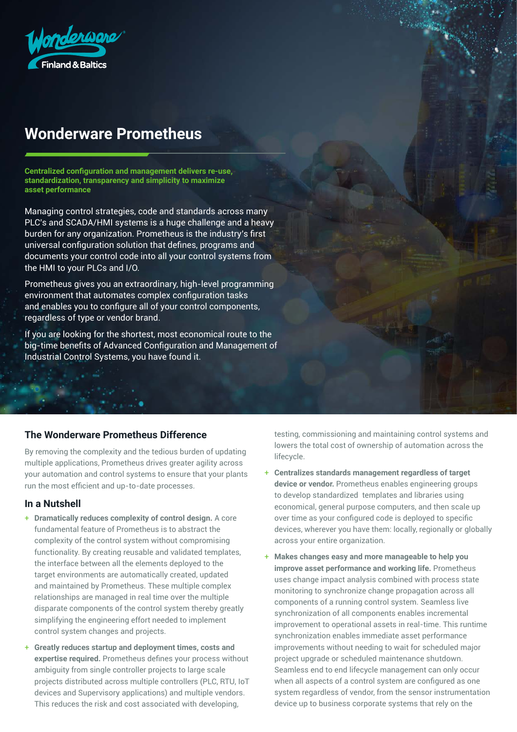

# **Wonderware Prometheus**

**Centralized configuration and management delivers re-use, standardization, transparency and simplicity to maximize asset performance**

Managing control strategies, code and standards across many PLC's and SCADA/HMI systems is a huge challenge and a heavy burden for any organization. Prometheus is the industry's first universal configuration solution that defines, programs and documents your control code into all your control systems from the HMI to your PLCs and I/O.

Prometheus gives you an extraordinary, high-level programming environment that automates complex configuration tasks and enables you to configure all of your control components, regardless of type or vendor brand.

If you are looking for the shortest, most economical route to the big-time benefits of Advanced Configuration and Management of Industrial Control Systems, you have found it.

## **The Wonderware Prometheus Difference**

By removing the complexity and the tedious burden of updating multiple applications, Prometheus drives greater agility across your automation and control systems to ensure that your plants run the most efficient and up-to-date processes.

#### **In a Nutshell**

- + **Dramatically reduces complexity of control design.** A core fundamental feature of Prometheus is to abstract the complexity of the control system without compromising functionality. By creating reusable and validated templates, the interface between all the elements deployed to the target environments are automatically created, updated and maintained by Prometheus. These multiple complex relationships are managed in real time over the multiple disparate components of the control system thereby greatly simplifying the engineering effort needed to implement control system changes and projects.
- + **Greatly reduces startup and deployment times, costs and expertise required.** Prometheus defines your process without ambiguity from single controller projects to large scale projects distributed across multiple controllers (PLC, RTU, IoT devices and Supervisory applications) and multiple vendors. This reduces the risk and cost associated with developing,

testing, commissioning and maintaining control systems and lowers the total cost of ownership of automation across the lifecycle.

- + **Centralizes standards management regardless of target device or vendor.** Prometheus enables engineering groups to develop standardized templates and libraries using economical, general purpose computers, and then scale up over time as your configured code is deployed to specific devices, wherever you have them: locally, regionally or globally across your entire organization.
- + **Makes changes easy and more manageable to help you improve asset performance and working life.** Prometheus uses change impact analysis combined with process state monitoring to synchronize change propagation across all components of a running control system. Seamless live synchronization of all components enables incremental improvement to operational assets in real-time. This runtime synchronization enables immediate asset performance improvements without needing to wait for scheduled major project upgrade or scheduled maintenance shutdown. Seamless end to end lifecycle management can only occur when all aspects of a control system are configured as one system regardless of vendor, from the sensor instrumentation device up to business corporate systems that rely on the